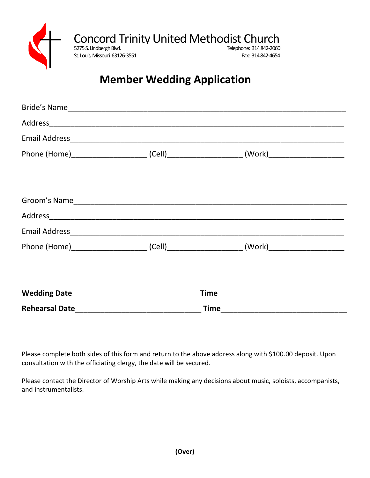

## **Member Wedding Application**

|  | Email Address experiences and a series of the series of the series of the series of the series of the series of the series of the series of the series of the series of the series of the series of the series of the series o |  |
|--|--------------------------------------------------------------------------------------------------------------------------------------------------------------------------------------------------------------------------------|--|
|  |                                                                                                                                                                                                                                |  |
|  |                                                                                                                                                                                                                                |  |
|  |                                                                                                                                                                                                                                |  |
|  |                                                                                                                                                                                                                                |  |
|  |                                                                                                                                                                                                                                |  |
|  |                                                                                                                                                                                                                                |  |
|  |                                                                                                                                                                                                                                |  |
|  |                                                                                                                                                                                                                                |  |
|  |                                                                                                                                                                                                                                |  |

Please complete both sides of this form and return to the above address along with \$100.00 deposit. Upon consultation with the officiating clergy, the date will be secured.

Please contact the Director of Worship Arts while making any decisions about music, soloists, accompanists, and instrumentalists.